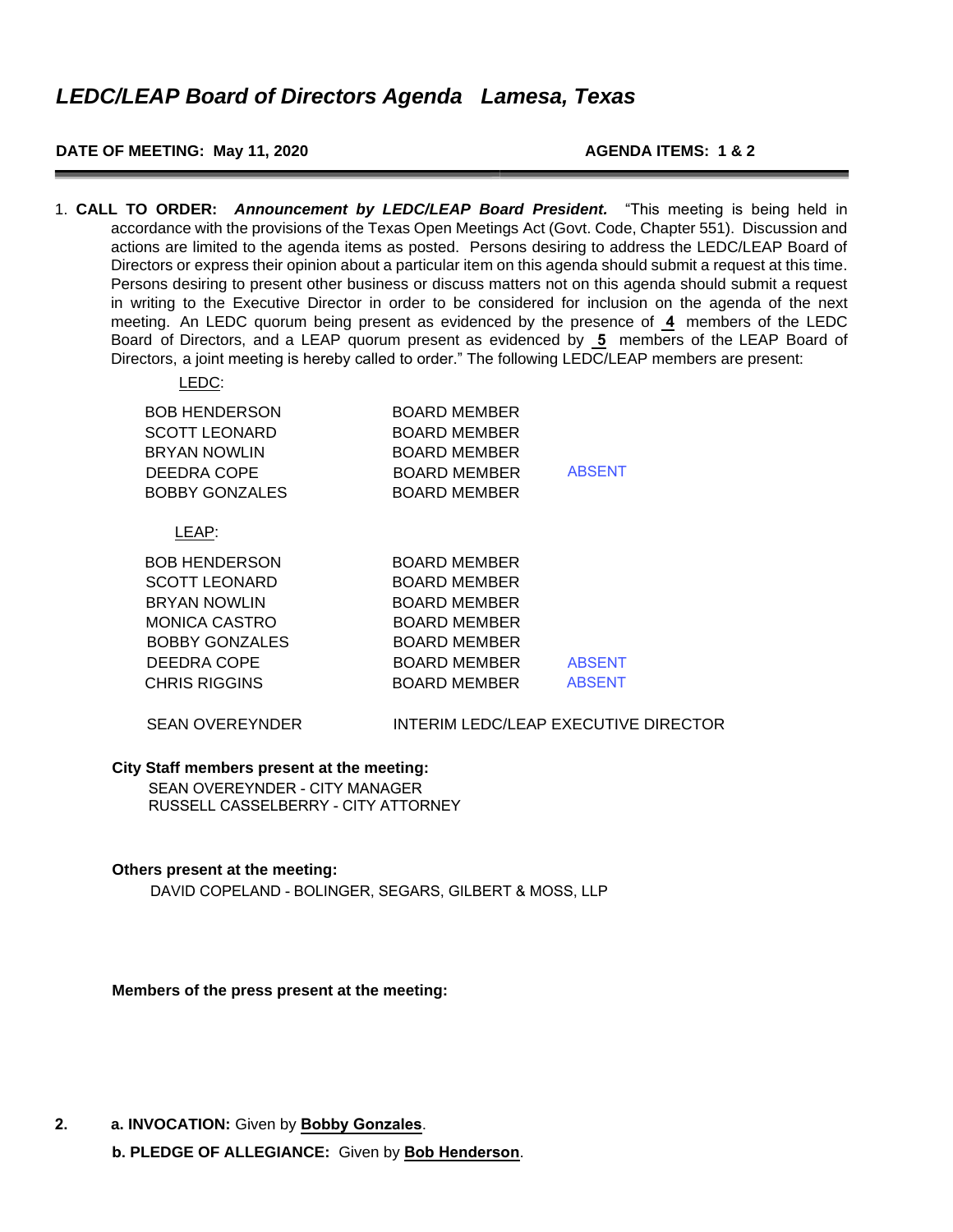### **DATE OF MEETING: May 11, 2020 AGENDA ITEMS: 1 & 2**

1. **CALL TO ORDER:** *Announcement by LEDC/LEAP Board President.* "This meeting is being held in accordance with the provisions of the Texas Open Meetings Act (Govt. Code, Chapter 551). Discussion and actions are limited to the agenda items as posted. Persons desiring to address the LEDC/LEAP Board of Directors or express their opinion about a particular item on this agenda should submit a request at this time. Persons desiring to present other business or discuss matters not on this agenda should submit a request in writing to the Executive Director in order to be considered for inclusion on the agenda of the next meeting. An LEDC quorum being present as evidenced by the presence of **4** members of the LEDC Board of Directors, and a LEAP quorum present as evidenced by **5** members of the LEAP Board of Directors, a joint meeting is hereby called to order." The following LEDC/LEAP members are present:

| LEDC:                                                                                                       |                                                                                            |               |
|-------------------------------------------------------------------------------------------------------------|--------------------------------------------------------------------------------------------|---------------|
| <b>BOB HENDERSON</b><br><b>SCOTT LEONARD</b><br><b>BRYAN NOWLIN</b><br>DEEDRA COPE<br><b>BOBBY GONZALES</b> | BOARD MEMBER<br><b>BOARD MEMBER</b><br>BOARD MEMBER<br>BOARD MEMBER<br><b>BOARD MEMBER</b> | <b>ABSENT</b> |
| LEAP:                                                                                                       |                                                                                            |               |
| <b>BOB HENDERSON</b>                                                                                        | BOARD MEMBER                                                                               |               |
| <b>SCOTT LEONARD</b>                                                                                        | BOARD MEMBER                                                                               |               |
| <b>BRYAN NOWLIN</b>                                                                                         | BOARD MEMBER                                                                               |               |
| MONICA CASTRO                                                                                               | BOARD MEMBER                                                                               |               |
| <b>BOBBY GONZALES</b>                                                                                       | BOARD MEMBER                                                                               |               |
| DEEDRA COPE                                                                                                 | <b>BOARD MEMBER</b>                                                                        | <b>ABSENT</b> |
| <b>CHRIS RIGGINS</b>                                                                                        | <b>BOARD MEMBER</b>                                                                        | <b>ABSENT</b> |

#### SEAN OVEREYNDER **INTERIM LEDC/LEAP EXECUTIVE DIRECTOR**

#### **City Staff members present at the meeting:**

SEAN OVEREYNDER - CITY MANAGER RUSSELL CASSELBERRY - CITY ATTORNEY

#### **Others present at the meeting:**

DAVID COPELAND - BOLINGER, SEGARS, GILBERT & MOSS, LLP

**Members of the press present at the meeting:** 

**2. a. INVOCATION:** Given by **Bobby Gonzales**.

**b. PLEDGE OF ALLEGIANCE:** Given by **Bob Henderson**.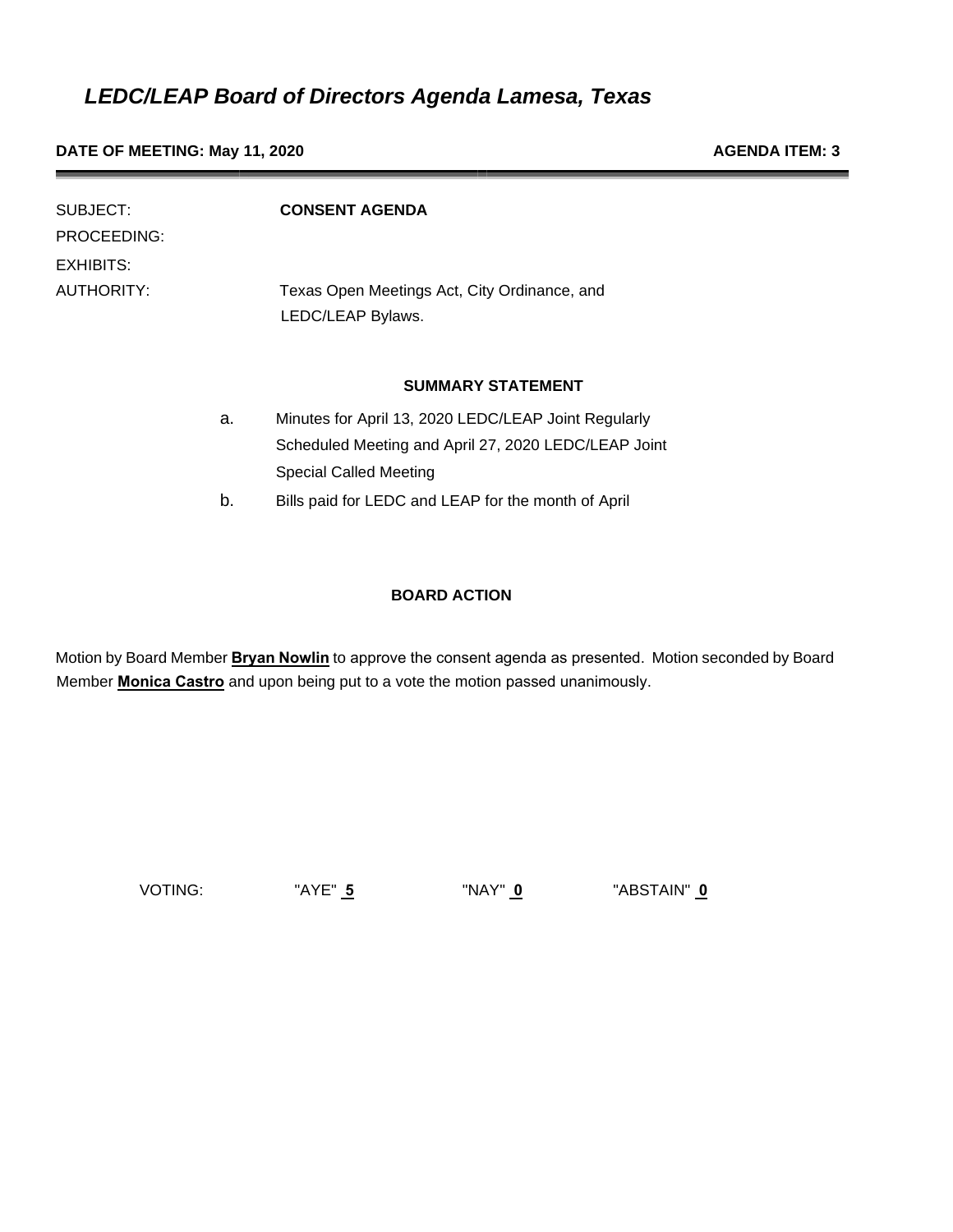**DATE OF MEETING: May 11, 2020 AGENDA ITEM: 3** 

| SUBJECT:    |    | <b>CONSENT AGENDA</b>                                |
|-------------|----|------------------------------------------------------|
| PROCEEDING: |    |                                                      |
| EXHIBITS:   |    |                                                      |
| AUTHORITY:  |    | Texas Open Meetings Act, City Ordinance, and         |
|             |    | LEDC/LEAP Bylaws.                                    |
|             |    |                                                      |
|             |    | <b>SUMMARY STATEMENT</b>                             |
|             | a. | Minutes for April 13, 2020 LEDC/LEAP Joint Regularly |
|             |    | Scheduled Meeting and April 27, 2020 LEDC/LEAP Joint |
|             |    | <b>Special Called Meeting</b>                        |
|             | b. | Bills paid for LEDC and LEAP for the month of April  |
|             |    |                                                      |

### **BOARD ACTION**

Motion by Board Member **Bryan Nowlin** to approve the consent agenda as presented. Motion seconded by Board Member **Monica Castro** and upon being put to a vote the motion passed unanimously.

VOTING: "AYE" **5** "NAY" **0** "ABSTAIN" **0**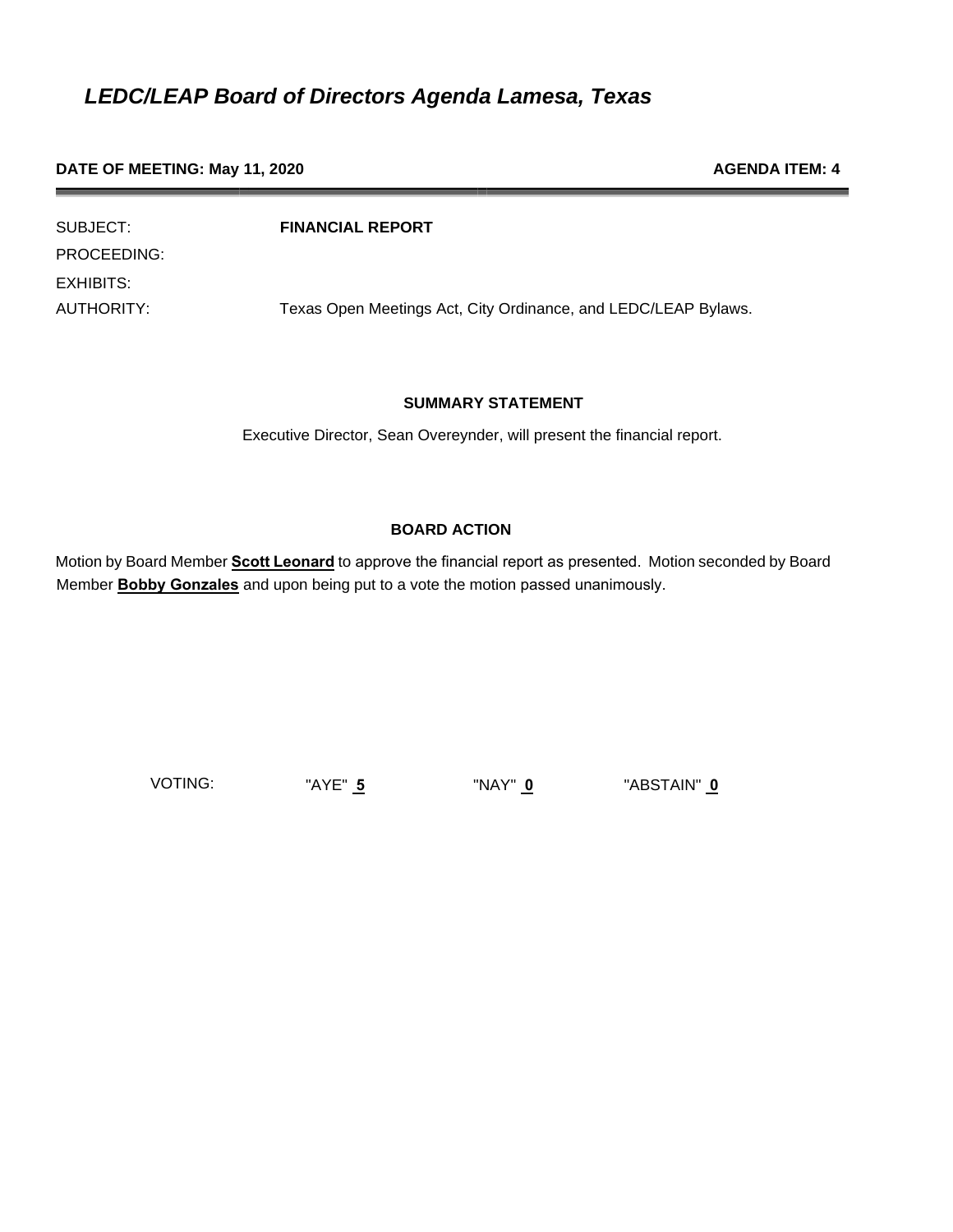### **DATE OF MEETING: May 11, 2020 AGENDA ITEM: 4 AGENDA ITEM: 4**

| SUBJECT:    | <b>FINANCIAL REPORT</b>                                        |
|-------------|----------------------------------------------------------------|
| PROCEEDING: |                                                                |
| EXHIBITS:   |                                                                |
| AUTHORITY:  | Texas Open Meetings Act, City Ordinance, and LEDC/LEAP Bylaws. |

#### **SUMMARY STATEMENT**

Executive Director, Sean Overeynder, will present the financial report.

### **BOARD ACTION**

Motion by Board Member **Scott Leonard** to approve the financial report as presented. Motion seconded by Board Member **Bobby Gonzales** and upon being put to a vote the motion passed unanimously.

VOTING: "AYE" **5** "NAY" **0** "ABSTAIN" **0**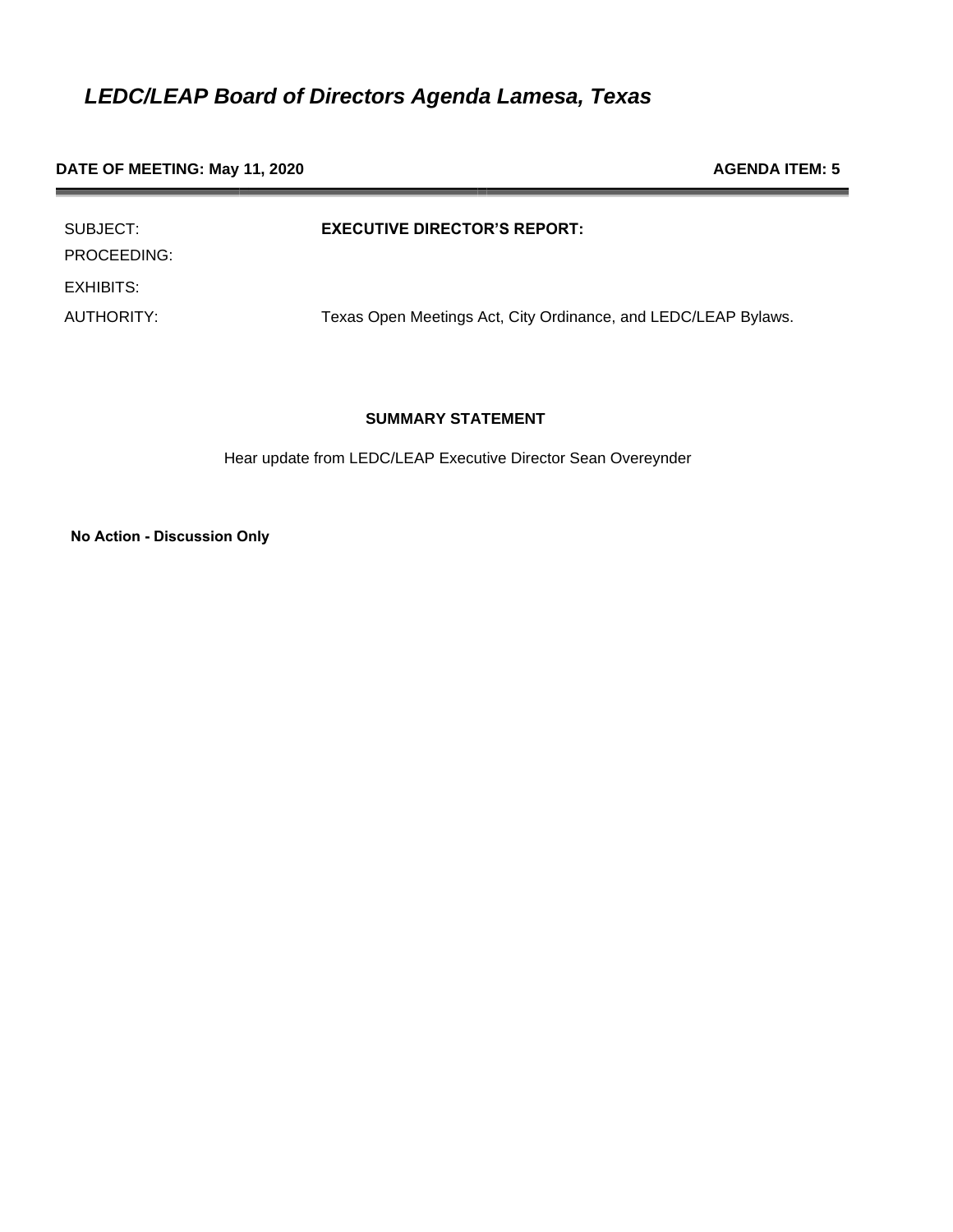### **DATE OF MEETING: May 11, 2020 AGENDA ITEM: 5 AGENDA ITEM: 5**

| SUBJECT:<br>PROCEEDING: | <b>EXECUTIVE DIRECTOR'S REPORT:</b>                            |
|-------------------------|----------------------------------------------------------------|
| EXHIBITS:               |                                                                |
| AUTHORITY:              | Texas Open Meetings Act, City Ordinance, and LEDC/LEAP Bylaws. |

### **SUMMARY STATEMENT**

Hear update from LEDC/LEAP Executive Director Sean Overeynder

**No Action - Discussion Only**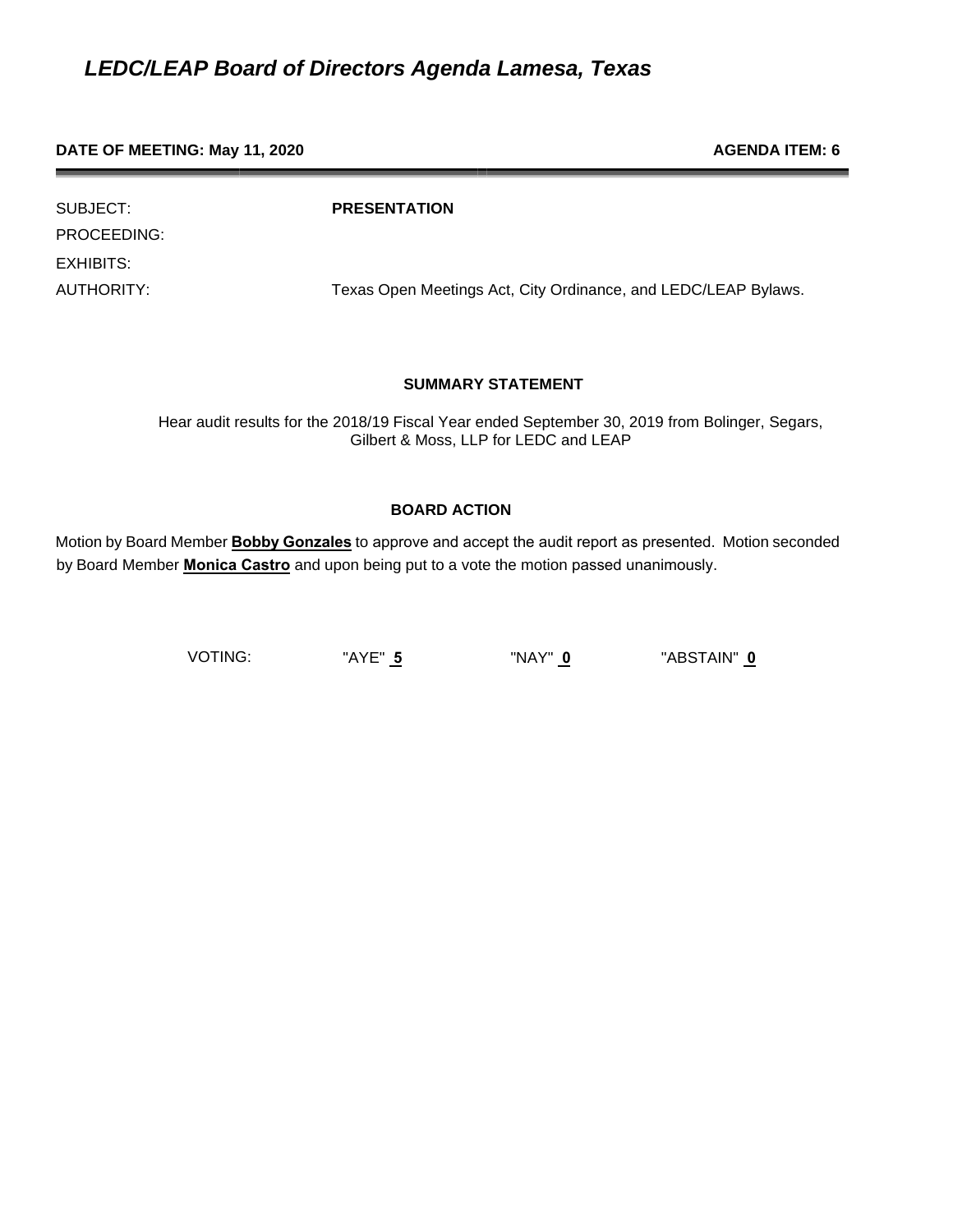**DATE OF MEETING: May 11, 2020 AGENDA ITEM: 6 AGENDA ITEM: 6** 

PROCEEDING: EXHIBITS:

SUBJECT: **PRESENTATION**

AUTHORITY: Texas Open Meetings Act, City Ordinance, and LEDC/LEAP Bylaws.

### **SUMMARY STATEMENT**

Hear audit results for the 2018/19 Fiscal Year ended September 30, 2019 from Bolinger, Segars, Gilbert & Moss, LLP for LEDC and LEAP

### **BOARD ACTION**

Motion by Board Member **Bobby Gonzales** to approve and accept the audit report as presented. Motion seconded by Board Member **Monica Castro** and upon being put to a vote the motion passed unanimously.

VOTING: "AYE" **5** "NAY" **0** "ABSTAIN" **0**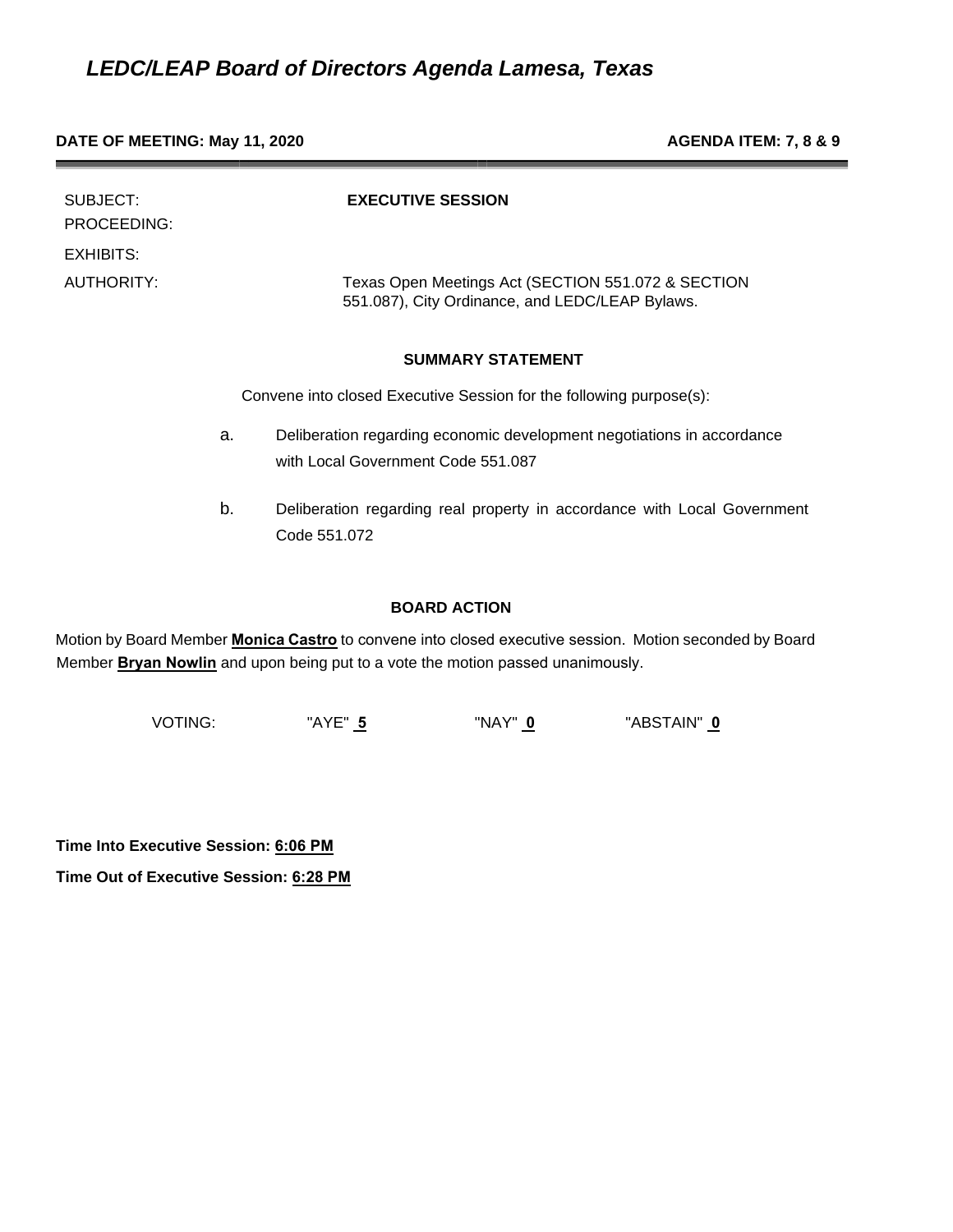#### **DATE OF MEETING: May 11, 2020 AGENDA ITEM: 7, 8 & 9**

| SUBJECT:<br>PROCEEDING:<br>EXHIBITS: |    | <b>EXECUTIVE SESSION</b>                                                                                     |
|--------------------------------------|----|--------------------------------------------------------------------------------------------------------------|
| <b>AUTHORITY:</b>                    |    | Texas Open Meetings Act (SECTION 551.072 & SECTION<br>551.087), City Ordinance, and LEDC/LEAP Bylaws.        |
|                                      |    | <b>SUMMARY STATEMENT</b>                                                                                     |
|                                      |    | Convene into closed Executive Session for the following purpose(s):                                          |
|                                      | a. | Deliberation regarding economic development negotiations in accordance<br>with Local Government Code 551,087 |
|                                      |    |                                                                                                              |

b. Deliberation regarding real property in accordance with Local Government Code 551.072

### **BOARD ACTION**

Motion by Board Member **Monica Castro** to convene into closed executive session. Motion seconded by Board Member **Bryan Nowlin** and upon being put to a vote the motion passed unanimously.

VOTING: "AYE" **5** "NAY" **0** "ABSTAIN" **0** 

**Time Into Executive Session: 6:06 PM** 

**Time Out of Executive Session: 6:28 PM**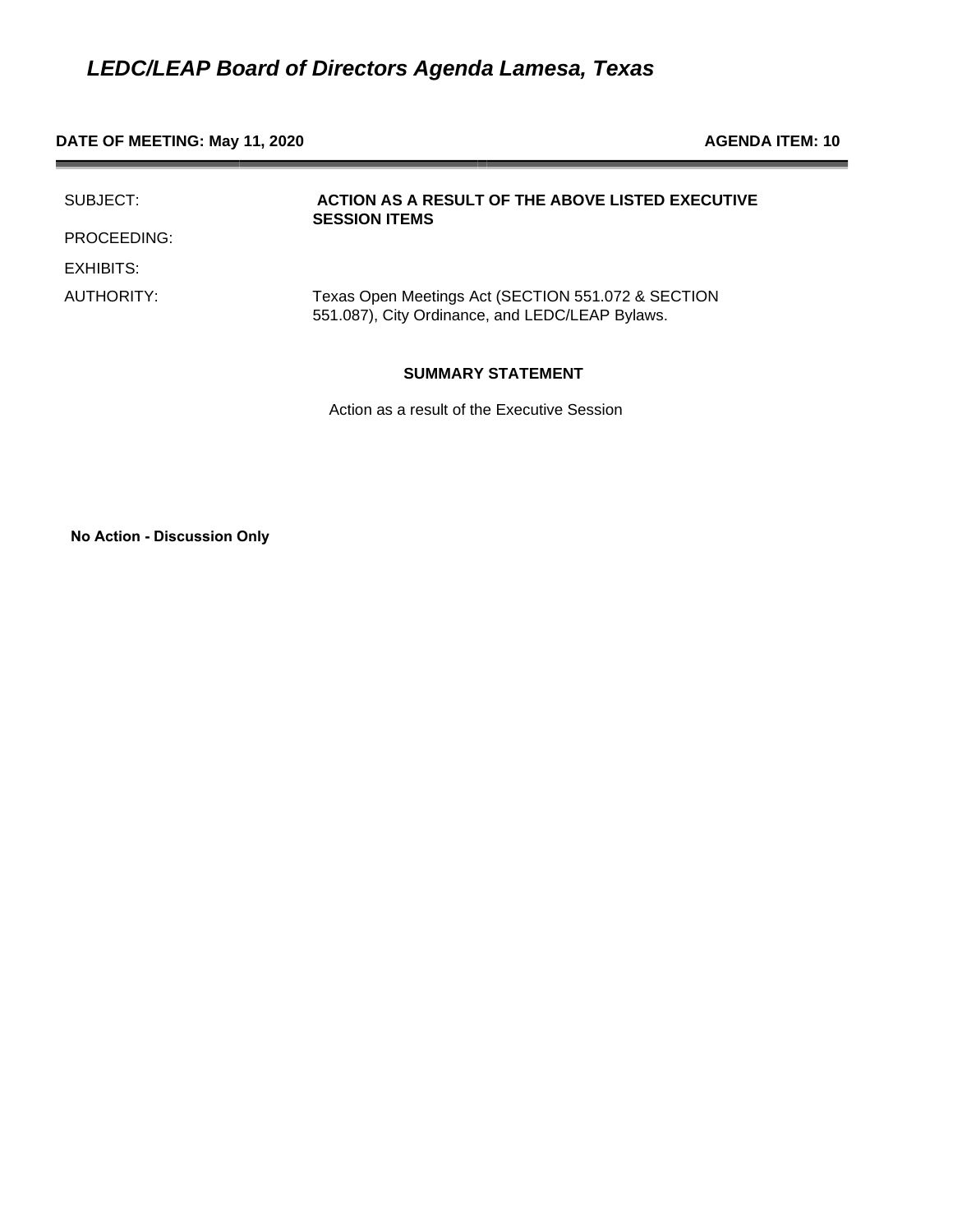#### **DATE OF MEETING: May 11, 2020 AGENDA ITEM: 10**

| SUBJECT:    | <b>ACTION AS A RESULT OF THE ABOVE LISTED EXECUTIVE</b><br><b>SESSION ITEMS</b>                       |
|-------------|-------------------------------------------------------------------------------------------------------|
| PROCEEDING: |                                                                                                       |
| EXHIBITS:   |                                                                                                       |
| AUTHORITY:  | Texas Open Meetings Act (SECTION 551.072 & SECTION<br>551.087), City Ordinance, and LEDC/LEAP Bylaws. |

#### **SUMMARY STATEMENT**

Action as a result of the Executive Session

**No Action - Discussion Only**